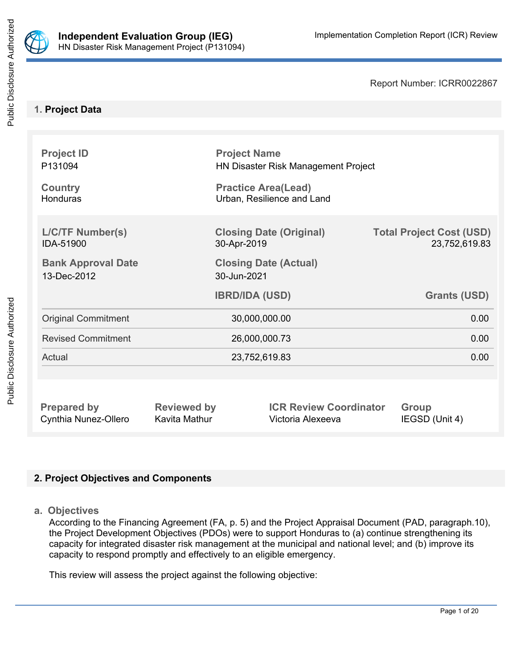

Report Number: ICRR0022867

## **1. Project Data**

| <b>Project ID</b><br>P131094<br><b>Country</b> | <b>Project Name</b><br>HN Disaster Risk Management Project<br><b>Practice Area(Lead)</b> |                            |                                                  |  |
|------------------------------------------------|------------------------------------------------------------------------------------------|----------------------------|--------------------------------------------------|--|
| <b>Honduras</b>                                |                                                                                          | Urban, Resilience and Land |                                                  |  |
| <b>L/C/TF Number(s)</b><br>IDA-51900           | <b>Closing Date (Original)</b><br>30-Apr-2019                                            |                            | <b>Total Project Cost (USD)</b><br>23,752,619.83 |  |
| <b>Bank Approval Date</b><br>13-Dec-2012       | <b>Closing Date (Actual)</b><br>30-Jun-2021                                              |                            |                                                  |  |
|                                                |                                                                                          |                            |                                                  |  |
|                                                |                                                                                          | <b>IBRD/IDA (USD)</b>      | <b>Grants (USD)</b>                              |  |
| <b>Original Commitment</b>                     |                                                                                          | 30,000,000.00              | 0.00                                             |  |
| <b>Revised Commitment</b>                      |                                                                                          | 26,000,000.73              | 0.00                                             |  |
| Actual                                         |                                                                                          | 23,752,619.83              | 0.00                                             |  |
|                                                |                                                                                          |                            |                                                  |  |

## **2. Project Objectives and Components**

**a. Objectives**

According to the Financing Agreement (FA, p. 5) and the Project Appraisal Document (PAD, paragraph.10), the Project Development Objectives (PDOs) were to support Honduras to (a) continue strengthening its capacity for integrated disaster risk management at the municipal and national level; and (b) improve its capacity to respond promptly and effectively to an eligible emergency.

This review will assess the project against the following objective: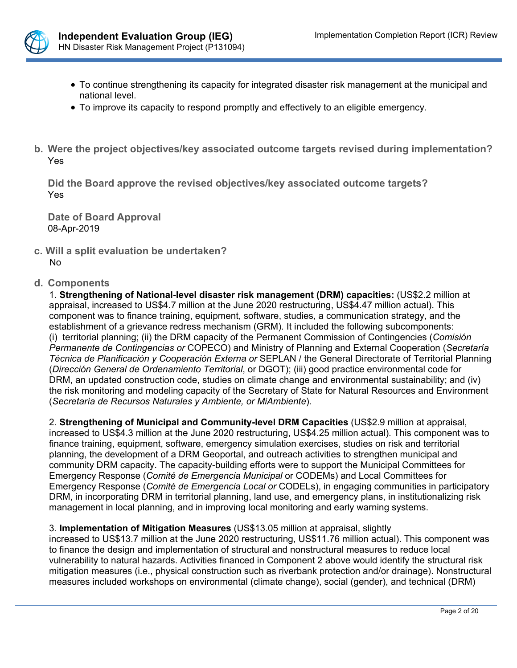

- To continue strengthening its capacity for integrated disaster risk management at the municipal and national level.
- To improve its capacity to respond promptly and effectively to an eligible emergency.
- **b. Were the project objectives/key associated outcome targets revised during implementation?** Yes

**Did the Board approve the revised objectives/key associated outcome targets?** Yes

**Date of Board Approval** 08-Apr-2019

**c. Will a split evaluation be undertaken?** No

### **d. Components**

1. **Strengthening of National-level disaster risk management (DRM) capacities:** (US\$2.2 million at appraisal, increased to US\$4.7 million at the June 2020 restructuring, US\$4.47 million actual). This component was to finance training, equipment, software, studies, a communication strategy, and the establishment of a grievance redress mechanism (GRM). It included the following subcomponents: (i) territorial planning; (ii) the DRM capacity of the Permanent Commission of Contingencies (*Comisión Permanente de Contingencias or* COPECO) and Ministry of Planning and External Cooperation (*Secretaría Técnica de Planificación y Cooperación Externa or* SEPLAN / the General Directorate of Territorial Planning (*Dirección General de Ordenamiento Territorial*, or DGOT); (iii) good practice environmental code for DRM, an updated construction code, studies on climate change and environmental sustainability; and (iv) the risk monitoring and modeling capacity of the Secretary of State for Natural Resources and Environment (*Secretaría de Recursos Naturales y Ambiente, or MiAmbiente*).

2. **Strengthening of Municipal and Community-level DRM Capacities** (US\$2.9 million at appraisal, increased to US\$4.3 million at the June 2020 restructuring, US\$4.25 million actual). This component was to finance training, equipment, software, emergency simulation exercises, studies on risk and territorial planning, the development of a DRM Geoportal, and outreach activities to strengthen municipal and community DRM capacity. The capacity-building efforts were to support the Municipal Committees for Emergency Response (*Comité de Emergencia Municipal* or CODEMs) and Local Committees for Emergency Response (*Comité de Emergencia Local or* CODELs), in engaging communities in participatory DRM, in incorporating DRM in territorial planning, land use, and emergency plans, in institutionalizing risk management in local planning, and in improving local monitoring and early warning systems.

### 3. **Implementation of Mitigation Measures** (US\$13.05 million at appraisal, slightly

increased to US\$13.7 million at the June 2020 restructuring, US\$11.76 million actual). This component was to finance the design and implementation of structural and nonstructural measures to reduce local vulnerability to natural hazards. Activities financed in Component 2 above would identify the structural risk mitigation measures (i.e., physical construction such as riverbank protection and/or drainage). Nonstructural measures included workshops on environmental (climate change), social (gender), and technical (DRM)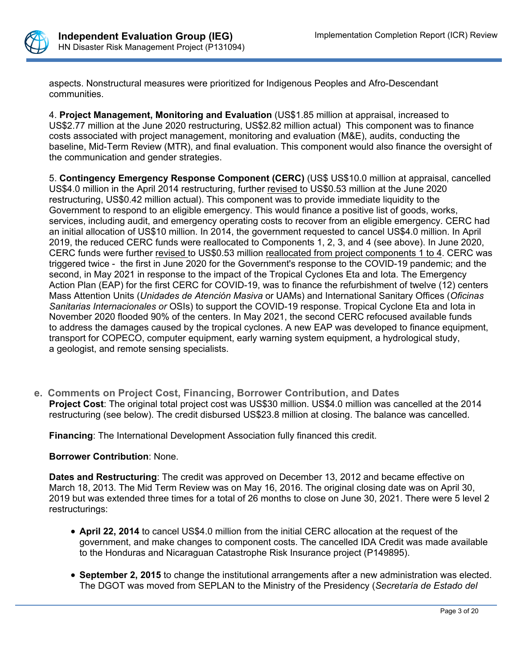

aspects. Nonstructural measures were prioritized for Indigenous Peoples and Afro-Descendant communities.

4. **Project Management, Monitoring and Evaluation** (US\$1.85 million at appraisal, increased to US\$2.77 million at the June 2020 restructuring, US\$2.82 million actual) This component was to finance costs associated with project management, monitoring and evaluation (M&E), audits, conducting the baseline, Mid-Term Review (MTR), and final evaluation. This component would also finance the oversight of the communication and gender strategies.

5. **Contingency Emergency Response Component (CERC)** (US\$ US\$10.0 million at appraisal, cancelled US\$4.0 million in the April 2014 restructuring, further revised to US\$0.53 million at the June 2020 restructuring, US\$0.42 million actual). This component was to provide immediate liquidity to the Government to respond to an eligible emergency. This would finance a positive list of goods, works, services, including audit, and emergency operating costs to recover from an eligible emergency. CERC had an initial allocation of US\$10 million. In 2014, the government requested to cancel US\$4.0 million. In April 2019, the reduced CERC funds were reallocated to Components 1, 2, 3, and 4 (see above). In June 2020, CERC funds were further revised to US\$0.53 million reallocated from project components 1 to 4. CERC was triggered twice - the first in June 2020 for the Government's response to the COVID-19 pandemic; and the second, in May 2021 in response to the impact of the Tropical Cyclones Eta and Iota. The Emergency Action Plan (EAP) for the first CERC for COVID-19, was to finance the refurbishment of twelve (12) centers Mass Attention Units (*Unidades de Atención Masiva* or UAMs) and International Sanitary Offices (*Oficinas Sanitarias Internacionales or* OSIs) to support the COVID-19 response. Tropical Cyclone Eta and Iota in November 2020 flooded 90% of the centers. In May 2021, the second CERC refocused available funds to address the damages caused by the tropical cyclones. A new EAP was developed to finance equipment, transport for COPECO, computer equipment, early warning system equipment, a hydrological study, a geologist, and remote sensing specialists.

**e. Comments on Project Cost, Financing, Borrower Contribution, and Dates Project Cost**: The original total project cost was US\$30 million. US\$4.0 million was cancelled at the 2014 restructuring (see below). The credit disbursed US\$23.8 million at closing. The balance was cancelled.

**Financing**: The International Development Association fully financed this credit.

#### **Borrower Contribution**: None.

**Dates and Restructuring**: The credit was approved on December 13, 2012 and became effective on March 18, 2013. The Mid Term Review was on May 16, 2016. The original closing date was on April 30, 2019 but was extended three times for a total of 26 months to close on June 30, 2021. There were 5 level 2 restructurings:

- **April 22, 2014** to cancel US\$4.0 million from the initial CERC allocation at the request of the government, and make changes to component costs. The cancelled IDA Credit was made available to the Honduras and Nicaraguan Catastrophe Risk Insurance project (P149895).
- **September 2, 2015** to change the institutional arrangements after a new administration was elected. The DGOT was moved from SEPLAN to the Ministry of the Presidency (*Secretaría de Estado del*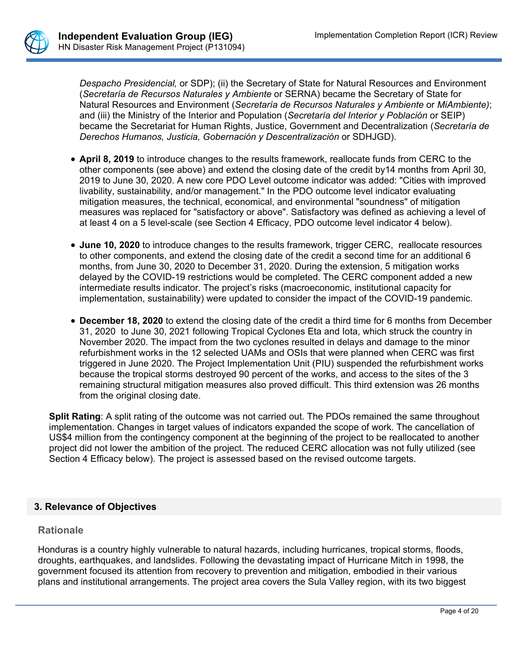

*Despacho Presidencial,* or SDP); (ii) the Secretary of State for Natural Resources and Environment (*Secretaría de Recursos Naturales y Ambiente* or SERNA) became the Secretary of State for Natural Resources and Environment (*Secretaría de Recursos Naturales y Ambiente* or *MiAmbiente)*; and (iii) the Ministry of the Interior and Population (*Secretaría del Interior y Población* or SEIP) became the Secretariat for Human Rights, Justice, Government and Decentralization (*Secretaría de Derechos Humanos, Justicia, Gobernación y Descentralización* or SDHJGD).

- **April 8, 2019** to introduce changes to the results framework, reallocate funds from CERC to the other components (see above) and extend the closing date of the credit by14 months from April 30, 2019 to June 30, 2020. A new core PDO Level outcome indicator was added: "Cities with improved livability, sustainability, and/or management." In the PDO outcome level indicator evaluating mitigation measures, the technical, economical, and environmental "soundness" of mitigation measures was replaced for "satisfactory or above". Satisfactory was defined as achieving a level of at least 4 on a 5 level-scale (see Section 4 Efficacy, PDO outcome level indicator 4 below).
- **June 10, 2020** to introduce changes to the results framework, trigger CERC, reallocate resources to other components, and extend the closing date of the credit a second time for an additional 6 months, from June 30, 2020 to December 31, 2020. During the extension, 5 mitigation works delayed by the COVID-19 restrictions would be completed. The CERC component added a new intermediate results indicator. The project's risks (macroeconomic, institutional capacity for implementation, sustainability) were updated to consider the impact of the COVID-19 pandemic.
- **December 18, 2020** to extend the closing date of the credit a third time for 6 months from December 31, 2020 to June 30, 2021 following Tropical Cyclones Eta and Iota, which struck the country in November 2020. The impact from the two cyclones resulted in delays and damage to the minor refurbishment works in the 12 selected UAMs and OSIs that were planned when CERC was first triggered in June 2020. The Project Implementation Unit (PIU) suspended the refurbishment works because the tropical storms destroyed 90 percent of the works, and access to the sites of the 3 remaining structural mitigation measures also proved difficult. This third extension was 26 months from the original closing date.

**Split Rating**: A split rating of the outcome was not carried out. The PDOs remained the same throughout implementation. Changes in target values of indicators expanded the scope of work. The cancellation of US\$4 million from the contingency component at the beginning of the project to be reallocated to another project did not lower the ambition of the project. The reduced CERC allocation was not fully utilized (see Section 4 Efficacy below). The project is assessed based on the revised outcome targets.

### **3. Relevance of Objectives**

### **Rationale**

Honduras is a country highly vulnerable to natural hazards, including hurricanes, tropical storms, floods, droughts, earthquakes, and landslides. Following the devastating impact of Hurricane Mitch in 1998, the government focused its attention from recovery to prevention and mitigation, embodied in their various plans and institutional arrangements. The project area covers the Sula Valley region, with its two biggest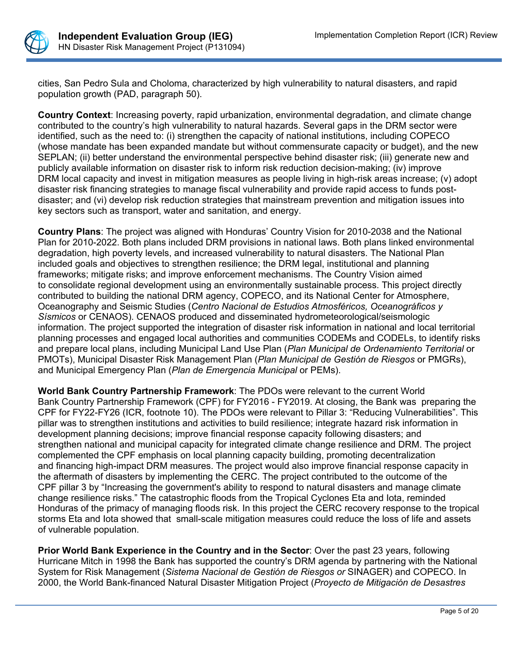

cities, San Pedro Sula and Choloma, characterized by high vulnerability to natural disasters, and rapid population growth (PAD, paragraph 50).

**Country Context**: Increasing poverty, rapid urbanization, environmental degradation, and climate change contributed to the country's high vulnerability to natural hazards. Several gaps in the DRM sector were identified, such as the need to: (i) strengthen the capacity of national institutions, including COPECO (whose mandate has been expanded mandate but without commensurate capacity or budget), and the new SEPLAN; (ii) better understand the environmental perspective behind disaster risk; (iii) generate new and publicly available information on disaster risk to inform risk reduction decision-making; (iv) improve DRM local capacity and invest in mitigation measures as people living in high-risk areas increase; (v) adopt disaster risk financing strategies to manage fiscal vulnerability and provide rapid access to funds postdisaster; and (vi) develop risk reduction strategies that mainstream prevention and mitigation issues into key sectors such as transport, water and sanitation, and energy.

**Country Plans**: The project was aligned with Honduras' Country Vision for 2010-2038 and the National Plan for 2010-2022. Both plans included DRM provisions in national laws. Both plans linked environmental degradation, high poverty levels, and increased vulnerability to natural disasters. The National Plan included goals and objectives to strengthen resilience; the DRM legal, institutional and planning frameworks; mitigate risks; and improve enforcement mechanisms. The Country Vision aimed to consolidate regional development using an environmentally sustainable process. This project directly contributed to building the national DRM agency, COPECO, and its National Center for Atmosphere, Oceanography and Seismic Studies (*Centro Nacional de Estudios Atmosféricos, Oceanográficos y Sísmicos* or CENAOS). CENAOS produced and disseminated hydrometeorological/seismologic information. The project supported the integration of disaster risk information in national and local territorial planning processes and engaged local authorities and communities CODEMs and CODELs, to identify risks and prepare local plans, including Municipal Land Use Plan (*Plan Municipal de Ordenamiento Territorial* or PMOTs), Municipal Disaster Risk Management Plan (*Plan Municipal de Gestión de Riesgos* or PMGRs), and Municipal Emergency Plan (*Plan de Emergencia Municipal* or PEMs).

**World Bank Country Partnership Framework**: The PDOs were relevant to the current World Bank Country Partnership Framework (CPF) for FY2016 - FY2019. At closing, the Bank was preparing the CPF for FY22-FY26 (ICR, footnote 10). The PDOs were relevant to Pillar 3: "Reducing Vulnerabilities". This pillar was to strengthen institutions and activities to build resilience; integrate hazard risk information in development planning decisions; improve financial response capacity following disasters; and strengthen national and municipal capacity for integrated climate change resilience and DRM. The project complemented the CPF emphasis on local planning capacity building, promoting decentralization and financing high-impact DRM measures. The project would also improve financial response capacity in the aftermath of disasters by implementing the CERC. The project contributed to the outcome of the CPF pillar 3 by "Increasing the government's ability to respond to natural disasters and manage climate change resilience risks." The catastrophic floods from the Tropical Cyclones Eta and Iota, reminded Honduras of the primacy of managing floods risk. In this project the CERC recovery response to the tropical storms Eta and Iota showed that small-scale mitigation measures could reduce the loss of life and assets of vulnerable population.

**Prior World Bank Experience in the Country and in the Sector**: Over the past 23 years, following Hurricane Mitch in 1998 the Bank has supported the country's DRM agenda by partnering with the National System for Risk Management (*Sistema Nacional de Gestión de Riesgos or* SINAGER) and COPECO. In 2000, the World Bank-financed Natural Disaster Mitigation Project (*Proyecto de Mitigación de Desastres*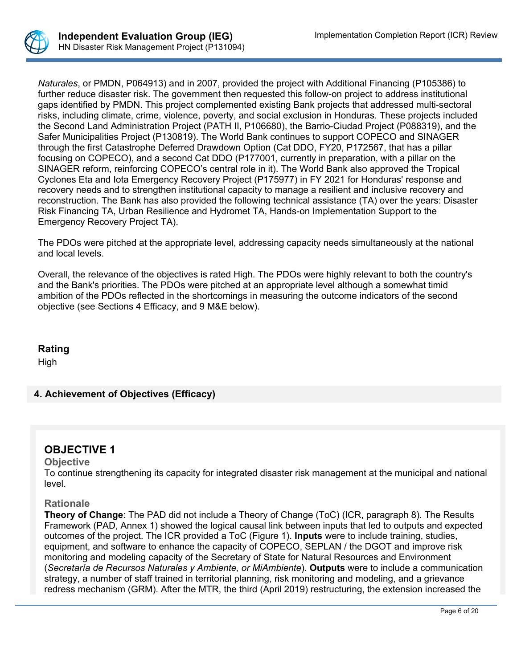

*Naturales*, or PMDN, P064913) and in 2007, provided the project with Additional Financing (P105386) to further reduce disaster risk. The government then requested this follow-on project to address institutional gaps identified by PMDN. This project complemented existing Bank projects that addressed multi-sectoral risks, including climate, crime, violence, poverty, and social exclusion in Honduras. These projects included the Second Land Administration Project (PATH II, P106680), the Barrio-Ciudad Project (P088319), and the Safer Municipalities Project (P130819). The World Bank continues to support COPECO and SINAGER through the first Catastrophe Deferred Drawdown Option (Cat DDO, FY20, P172567, that has a pillar focusing on COPECO), and a second Cat DDO (P177001, currently in preparation, with a pillar on the SINAGER reform, reinforcing COPECO's central role in it). The World Bank also approved the Tropical Cyclones Eta and Iota Emergency Recovery Project (P175977) in FY 2021 for Honduras' response and recovery needs and to strengthen institutional capacity to manage a resilient and inclusive recovery and reconstruction. The Bank has also provided the following technical assistance (TA) over the years: Disaster Risk Financing TA, Urban Resilience and Hydromet TA, Hands-on Implementation Support to the Emergency Recovery Project TA).

The PDOs were pitched at the appropriate level, addressing capacity needs simultaneously at the national and local levels.

Overall, the relevance of the objectives is rated High. The PDOs were highly relevant to both the country's and the Bank's priorities. The PDOs were pitched at an appropriate level although a somewhat timid ambition of the PDOs reflected in the shortcomings in measuring the outcome indicators of the second objective (see Sections 4 Efficacy, and 9 M&E below).

## **Rating**

High

## **4. Achievement of Objectives (Efficacy)**

# **OBJECTIVE 1**

#### **Objective**

To continue strengthening its capacity for integrated disaster risk management at the municipal and national level.

#### **Rationale**

**Theory of Change**: The PAD did not include a Theory of Change (ToC) (ICR, paragraph 8). The Results Framework (PAD, Annex 1) showed the logical causal link between inputs that led to outputs and expected outcomes of the project. The ICR provided a ToC (Figure 1). **Inputs** were to include training, studies, equipment, and software to enhance the capacity of COPECO, SEPLAN / the DGOT and improve risk monitoring and modeling capacity of the Secretary of State for Natural Resources and Environment (*Secretaría de Recursos Naturales y Ambiente, or MiAmbiente*). **Outputs** were to include a communication strategy, a number of staff trained in territorial planning, risk monitoring and modeling, and a grievance redress mechanism (GRM). After the MTR, the third (April 2019) restructuring, the extension increased the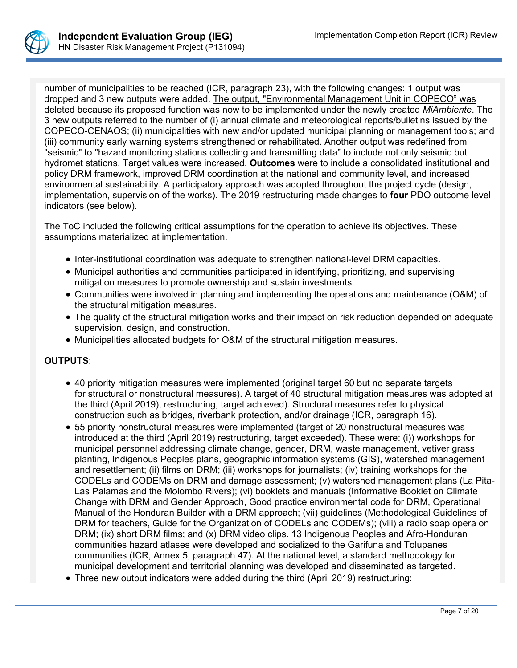

number of municipalities to be reached (ICR, paragraph 23), with the following changes: 1 output was dropped and 3 new outputs were added. The output, "Environmental Management Unit in COPECO" was deleted because its proposed function was now to be implemented under the newly created *MiAmbiente*. The 3 new outputs referred to the number of (i) annual climate and meteorological reports/bulletins issued by the COPECO-CENAOS; (ii) municipalities with new and/or updated municipal planning or management tools; and (iii) community early warning systems strengthened or rehabilitated. Another output was redefined from "seismic" to "hazard monitoring stations collecting and transmitting data" to include not only seismic but hydromet stations. Target values were increased. **Outcomes** were to include a consolidated institutional and policy DRM framework, improved DRM coordination at the national and community level, and increased environmental sustainability. A participatory approach was adopted throughout the project cycle (design, implementation, supervision of the works). The 2019 restructuring made changes to **four** PDO outcome level indicators (see below).

The ToC included the following critical assumptions for the operation to achieve its objectives. These assumptions materialized at implementation.

- Inter-institutional coordination was adequate to strengthen national-level DRM capacities.
- Municipal authorities and communities participated in identifying, prioritizing, and supervising mitigation measures to promote ownership and sustain investments.
- Communities were involved in planning and implementing the operations and maintenance (O&M) of the structural mitigation measures.
- The quality of the structural mitigation works and their impact on risk reduction depended on adequate supervision, design, and construction.
- Municipalities allocated budgets for O&M of the structural mitigation measures.

### **OUTPUTS**:

- 40 priority mitigation measures were implemented (original target 60 but no separate targets for structural or nonstructural measures). A target of 40 structural mitigation measures was adopted at the third (April 2019), restructuring, target achieved). Structural measures refer to physical construction such as bridges, riverbank protection, and/or drainage (ICR, paragraph 16).
- 55 priority nonstructural measures were implemented (target of 20 nonstructural measures was introduced at the third (April 2019) restructuring, target exceeded). These were: (i)) workshops for municipal personnel addressing climate change, gender, DRM, waste management, vetiver grass planting, Indigenous Peoples plans, geographic information systems (GIS), watershed management and resettlement; (ii) films on DRM; (iii) workshops for journalists; (iv) training workshops for the CODELs and CODEMs on DRM and damage assessment; (v) watershed management plans (La Pita-Las Palamas and the Molombo Rivers); (vi) booklets and manuals (Informative Booklet on Climate Change with DRM and Gender Approach, Good practice environmental code for DRM, Operational Manual of the Honduran Builder with a DRM approach; (vii) guidelines (Methodological Guidelines of DRM for teachers, Guide for the Organization of CODELs and CODEMs); (viii) a radio soap opera on DRM; (ix) short DRM films; and (x) DRM video clips. 13 Indigenous Peoples and Afro-Honduran communities hazard atlases were developed and socialized to the Garifuna and Tolupanes communities (ICR, Annex 5, paragraph 47). At the national level, a standard methodology for municipal development and territorial planning was developed and disseminated as targeted.
- Three new output indicators were added during the third (April 2019) restructuring: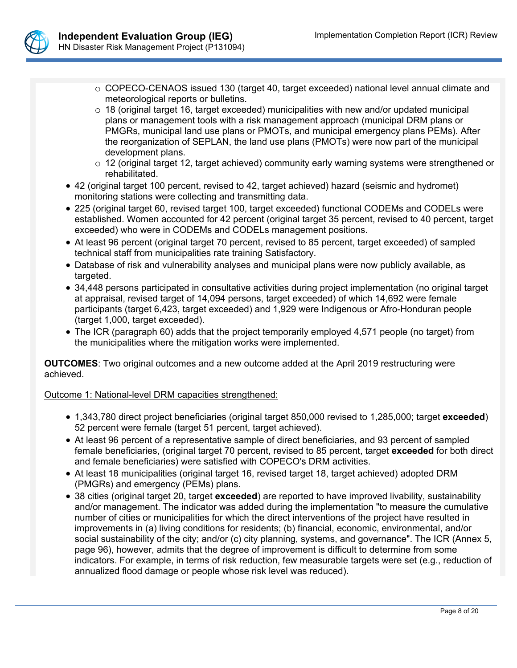

- o COPECO-CENAOS issued 130 (target 40, target exceeded) national level annual climate and meteorological reports or bulletins.
- $\circ$  18 (original target 16, target exceeded) municipalities with new and/or updated municipal plans or management tools with a risk management approach (municipal DRM plans or PMGRs, municipal land use plans or PMOTs, and municipal emergency plans PEMs). After the reorganization of SEPLAN, the land use plans (PMOTs) were now part of the municipal development plans.
- $\circ$  12 (original target 12, target achieved) community early warning systems were strengthened or rehabilitated.
- 42 (original target 100 percent, revised to 42, target achieved) hazard (seismic and hydromet) monitoring stations were collecting and transmitting data.
- 225 (original target 60, revised target 100, target exceeded) functional CODEMs and CODELs were established. Women accounted for 42 percent (original target 35 percent, revised to 40 percent, target exceeded) who were in CODEMs and CODELs management positions.
- At least 96 percent (original target 70 percent, revised to 85 percent, target exceeded) of sampled technical staff from municipalities rate training Satisfactory.
- Database of risk and vulnerability analyses and municipal plans were now publicly available, as targeted.
- 34,448 persons participated in consultative activities during project implementation (no original target at appraisal, revised target of 14,094 persons, target exceeded) of which 14,692 were female participants (target 6,423, target exceeded) and 1,929 were Indigenous or Afro-Honduran people (target 1,000, target exceeded).
- The ICR (paragraph 60) adds that the project temporarily employed 4,571 people (no target) from the municipalities where the mitigation works were implemented.

**OUTCOMES**: Two original outcomes and a new outcome added at the April 2019 restructuring were achieved.

## Outcome 1: National-level DRM capacities strengthened:

- 1,343,780 direct project beneficiaries (original target 850,000 revised to 1,285,000; target **exceeded**) 52 percent were female (target 51 percent, target achieved).
- At least 96 percent of a representative sample of direct beneficiaries, and 93 percent of sampled female beneficiaries, (original target 70 percent, revised to 85 percent, target **exceeded** for both direct and female beneficiaries) were satisfied with COPECO's DRM activities.
- At least 18 municipalities (original target 16, revised target 18, target achieved) adopted DRM (PMGRs) and emergency (PEMs) plans.
- 38 cities (original target 20, target **exceeded**) are reported to have improved livability, sustainability and/or management. The indicator was added during the implementation "to measure the cumulative number of cities or municipalities for which the direct interventions of the project have resulted in improvements in (a) living conditions for residents; (b) financial, economic, environmental, and/or social sustainability of the city; and/or (c) city planning, systems, and governance". The ICR (Annex 5, page 96), however, admits that the degree of improvement is difficult to determine from some indicators. For example, in terms of risk reduction, few measurable targets were set (e.g., reduction of annualized flood damage or people whose risk level was reduced).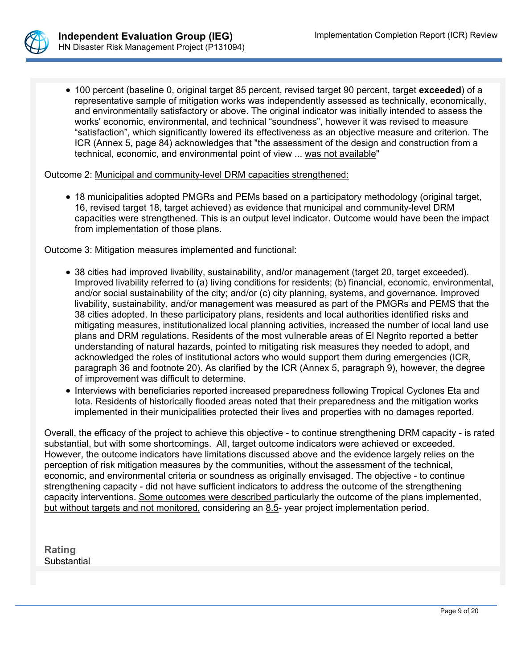

 100 percent (baseline 0, original target 85 percent, revised target 90 percent, target **exceeded**) of a representative sample of mitigation works was independently assessed as technically, economically, and environmentally satisfactory or above. The original indicator was initially intended to assess the works' economic, environmental, and technical "soundness", however it was revised to measure "satisfaction", which significantly lowered its effectiveness as an objective measure and criterion. The ICR (Annex 5, page 84) acknowledges that "the assessment of the design and construction from a technical, economic, and environmental point of view ... was not available"

Outcome 2: Municipal and community-level DRM capacities strengthened:

 18 municipalities adopted PMGRs and PEMs based on a participatory methodology (original target, 16, revised target 18, target achieved) as evidence that municipal and community-level DRM capacities were strengthened. This is an output level indicator. Outcome would have been the impact from implementation of those plans.

Outcome 3: Mitigation measures implemented and functional:

- 38 cities had improved livability, sustainability, and/or management (target 20, target exceeded). Improved livability referred to (a) living conditions for residents; (b) financial, economic, environmental, and/or social sustainability of the city; and/or (c) city planning, systems, and governance. Improved livability, sustainability, and/or management was measured as part of the PMGRs and PEMS that the 38 cities adopted. In these participatory plans, residents and local authorities identified risks and mitigating measures, institutionalized local planning activities, increased the number of local land use plans and DRM regulations. Residents of the most vulnerable areas of El Negrito reported a better understanding of natural hazards, pointed to mitigating risk measures they needed to adopt, and acknowledged the roles of institutional actors who would support them during emergencies (ICR, paragraph 36 and footnote 20). As clarified by the ICR (Annex 5, paragraph 9), however, the degree of improvement was difficult to determine.
- Interviews with beneficiaries reported increased preparedness following Tropical Cyclones Eta and Iota. Residents of historically flooded areas noted that their preparedness and the mitigation works implemented in their municipalities protected their lives and properties with no damages reported.

Overall, the efficacy of the project to achieve this objective - to continue strengthening DRM capacity - is rated substantial, but with some shortcomings. All, target outcome indicators were achieved or exceeded. However, the outcome indicators have limitations discussed above and the evidence largely relies on the perception of risk mitigation measures by the communities, without the assessment of the technical, economic, and environmental criteria or soundness as originally envisaged. The objective - to continue strengthening capacity - did not have sufficient indicators to address the outcome of the strengthening capacity interventions. Some outcomes were described particularly the outcome of the plans implemented, but without targets and not monitored, considering an 8.5- year project implementation period.

**Rating Substantial**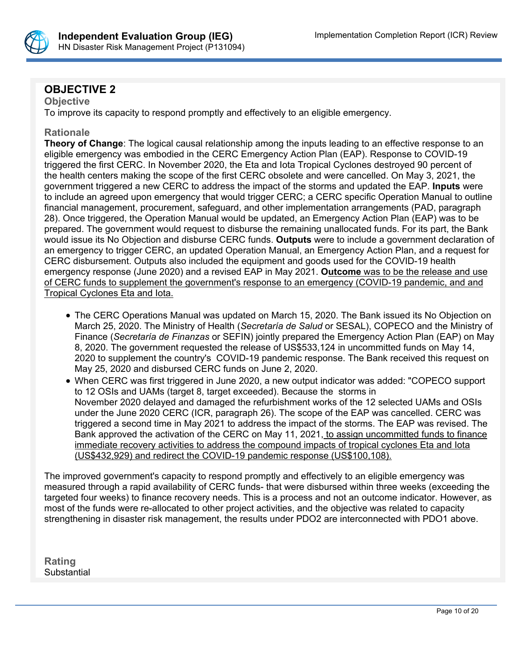

# **OBJECTIVE 2**

**Objective** To improve its capacity to respond promptly and effectively to an eligible emergency.

## **Rationale**

**Theory of Change**: The logical causal relationship among the inputs leading to an effective response to an eligible emergency was embodied in the CERC Emergency Action Plan (EAP). Response to COVID-19 triggered the first CERC. In November 2020, the Eta and Iota Tropical Cyclones destroyed 90 percent of the health centers making the scope of the first CERC obsolete and were cancelled. On May 3, 2021, the government triggered a new CERC to address the impact of the storms and updated the EAP. **Inputs** were to include an agreed upon emergency that would trigger CERC; a CERC specific Operation Manual to outline financial management, procurement, safeguard, and other implementation arrangements (PAD, paragraph 28). Once triggered, the Operation Manual would be updated, an Emergency Action Plan (EAP) was to be prepared. The government would request to disburse the remaining unallocated funds. For its part, the Bank would issue its No Objection and disburse CERC funds. **Outputs** were to include a government declaration of an emergency to trigger CERC, an updated Operation Manual, an Emergency Action Plan, and a request for CERC disbursement. Outputs also included the equipment and goods used for the COVID-19 health emergency response (June 2020) and a revised EAP in May 2021. **Outcome** was to be the release and use of CERC funds to supplement the government's response to an emergency (COVID-19 pandemic, and and Tropical Cyclones Eta and Iota.

- The CERC Operations Manual was updated on March 15, 2020. The Bank issued its No Objection on March 25, 2020. The Ministry of Health (*Secretaría de Salud* or SESAL), COPECO and the Ministry of Finance (*Secretaría de Finanzas* or SEFIN) jointly prepared the Emergency Action Plan (EAP) on May 8, 2020. The government requested the release of US\$533,124 in uncommitted funds on May 14, 2020 to supplement the country's COVID-19 pandemic response. The Bank received this request on May 25, 2020 and disbursed CERC funds on June 2, 2020.
- When CERC was first triggered in June 2020, a new output indicator was added: "COPECO support to 12 OSIs and UAMs (target 8, target exceeded). Because the storms in November 2020 delayed and damaged the refurbishment works of the 12 selected UAMs and OSIs under the June 2020 CERC (ICR, paragraph 26). The scope of the EAP was cancelled. CERC was triggered a second time in May 2021 to address the impact of the storms. The EAP was revised. The Bank approved the activation of the CERC on May 11, 2021, to assign uncommitted funds to finance immediate recovery activities to address the compound impacts of tropical cyclones Eta and Iota (US\$432,929) and redirect the COVID-19 pandemic response (US\$100,108).

The improved government's capacity to respond promptly and effectively to an eligible emergency was measured through a rapid availability of CERC funds- that were disbursed within three weeks (exceeding the targeted four weeks) to finance recovery needs. This is a process and not an outcome indicator. However, as most of the funds were re-allocated to other project activities, and the objective was related to capacity strengthening in disaster risk management, the results under PDO2 are interconnected with PDO1 above.

**Rating Substantial**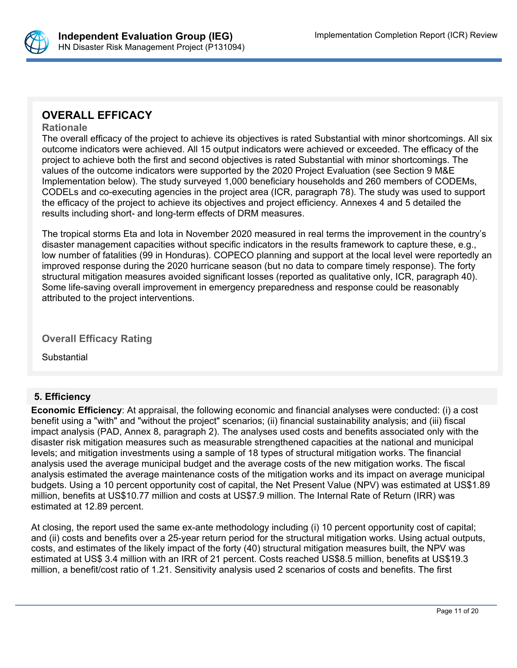

# **OVERALL EFFICACY**

#### **Rationale**

The overall efficacy of the project to achieve its objectives is rated Substantial with minor shortcomings. All six outcome indicators were achieved. All 15 output indicators were achieved or exceeded. The efficacy of the project to achieve both the first and second objectives is rated Substantial with minor shortcomings. The values of the outcome indicators were supported by the 2020 Project Evaluation (see Section 9 M&E Implementation below). The study surveyed 1,000 beneficiary households and 260 members of CODEMs, CODELs and co-executing agencies in the project area (ICR, paragraph 78). The study was used to support the efficacy of the project to achieve its objectives and project efficiency. Annexes 4 and 5 detailed the results including short- and long-term effects of DRM measures.

The tropical storms Eta and Iota in November 2020 measured in real terms the improvement in the country's disaster management capacities without specific indicators in the results framework to capture these, e.g., low number of fatalities (99 in Honduras). COPECO planning and support at the local level were reportedly an improved response during the 2020 hurricane season (but no data to compare timely response). The forty structural mitigation measures avoided significant losses (reported as qualitative only, ICR, paragraph 40). Some life-saving overall improvement in emergency preparedness and response could be reasonably attributed to the project interventions.

## **Overall Efficacy Rating**

**Substantial** 

## **5. Efficiency**

**Economic Efficiency**: At appraisal, the following economic and financial analyses were conducted: (i) a cost benefit using a "with" and "without the project" scenarios; (ii) financial sustainability analysis; and (iii) fiscal impact analysis (PAD, Annex 8, paragraph 2). The analyses used costs and benefits associated only with the disaster risk mitigation measures such as measurable strengthened capacities at the national and municipal levels; and mitigation investments using a sample of 18 types of structural mitigation works. The financial analysis used the average municipal budget and the average costs of the new mitigation works. The fiscal analysis estimated the average maintenance costs of the mitigation works and its impact on average municipal budgets. Using a 10 percent opportunity cost of capital, the Net Present Value (NPV) was estimated at US\$1.89 million, benefits at US\$10.77 million and costs at US\$7.9 million. The Internal Rate of Return (IRR) was estimated at 12.89 percent.

At closing, the report used the same ex-ante methodology including (i) 10 percent opportunity cost of capital; and (ii) costs and benefits over a 25-year return period for the structural mitigation works. Using actual outputs, costs, and estimates of the likely impact of the forty (40) structural mitigation measures built, the NPV was estimated at US\$ 3.4 million with an IRR of 21 percent. Costs reached US\$8.5 million, benefits at US\$19.3 million, a benefit/cost ratio of 1.21. Sensitivity analysis used 2 scenarios of costs and benefits. The first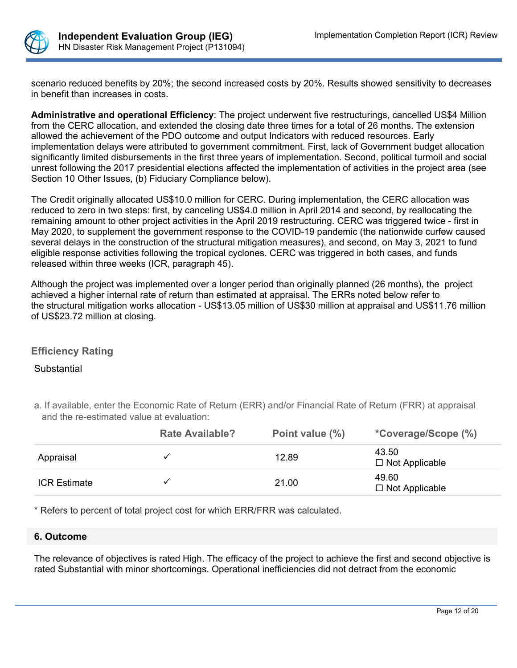

scenario reduced benefits by 20%; the second increased costs by 20%. Results showed sensitivity to decreases in benefit than increases in costs.

**Administrative and operational Efficiency**: The project underwent five restructurings, cancelled US\$4 Million from the CERC allocation, and extended the closing date three times for a total of 26 months. The extension allowed the achievement of the PDO outcome and output Indicators with reduced resources. Early implementation delays were attributed to government commitment. First, lack of Government budget allocation significantly limited disbursements in the first three years of implementation. Second, political turmoil and social unrest following the 2017 presidential elections affected the implementation of activities in the project area (see Section 10 Other Issues, (b) Fiduciary Compliance below).

The Credit originally allocated US\$10.0 million for CERC. During implementation, the CERC allocation was reduced to zero in two steps: first, by canceling US\$4.0 million in April 2014 and second, by reallocating the remaining amount to other project activities in the April 2019 restructuring. CERC was triggered twice - first in May 2020, to supplement the government response to the COVID-19 pandemic (the nationwide curfew caused several delays in the construction of the structural mitigation measures), and second, on May 3, 2021 to fund eligible response activities following the tropical cyclones. CERC was triggered in both cases, and funds released within three weeks (ICR, paragraph 45).

Although the project was implemented over a longer period than originally planned (26 months), the project achieved a higher internal rate of return than estimated at appraisal. The ERRs noted below refer to the structural mitigation works allocation - US\$13.05 million of US\$30 million at appraisal and US\$11.76 million of US\$23.72 million at closing.

## **Efficiency Rating**

### Substantial

a. If available, enter the Economic Rate of Return (ERR) and/or Financial Rate of Return (FRR) at appraisal and the re-estimated value at evaluation:

|                     | <b>Rate Available?</b> | Point value (%) | <i>*Coverage/Scope (%)</i>     |
|---------------------|------------------------|-----------------|--------------------------------|
| Appraisal           |                        | 12.89           | 43.50<br>$\Box$ Not Applicable |
| <b>ICR Estimate</b> |                        | 21.00           | 49.60<br>$\Box$ Not Applicable |

\* Refers to percent of total project cost for which ERR/FRR was calculated.

#### **6. Outcome**

The relevance of objectives is rated High. The efficacy of the project to achieve the first and second objective is rated Substantial with minor shortcomings. Operational inefficiencies did not detract from the economic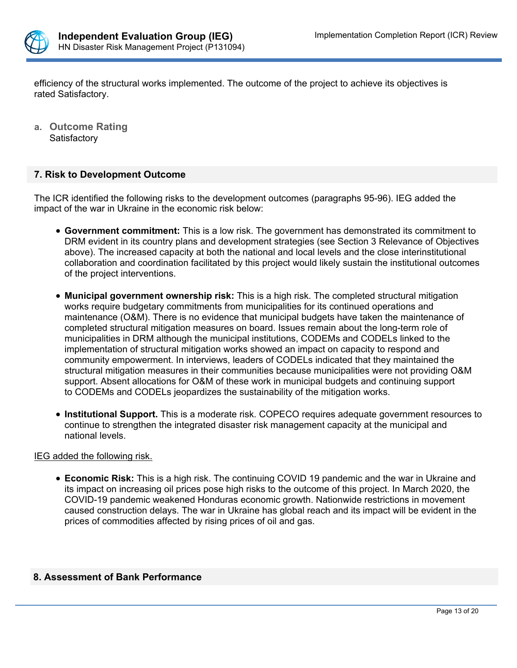

efficiency of the structural works implemented. The outcome of the project to achieve its objectives is rated Satisfactory.

**a. Outcome Rating Satisfactory** 

### **7. Risk to Development Outcome**

The ICR identified the following risks to the development outcomes (paragraphs 95-96). IEG added the impact of the war in Ukraine in the economic risk below:

- **Government commitment:** This is a low risk. The government has demonstrated its commitment to DRM evident in its country plans and development strategies (see Section 3 Relevance of Objectives above). The increased capacity at both the national and local levels and the close interinstitutional collaboration and coordination facilitated by this project would likely sustain the institutional outcomes of the project interventions.
- **Municipal government ownership risk:** This is a high risk. The completed structural mitigation works require budgetary commitments from municipalities for its continued operations and maintenance (O&M). There is no evidence that municipal budgets have taken the maintenance of completed structural mitigation measures on board. Issues remain about the long-term role of municipalities in DRM although the municipal institutions, CODEMs and CODELs linked to the implementation of structural mitigation works showed an impact on capacity to respond and community empowerment. In interviews, leaders of CODELs indicated that they maintained the structural mitigation measures in their communities because municipalities were not providing O&M support. Absent allocations for O&M of these work in municipal budgets and continuing support to CODEMs and CODELs jeopardizes the sustainability of the mitigation works.
- **Institutional Support.** This is a moderate risk. COPECO requires adequate government resources to continue to strengthen the integrated disaster risk management capacity at the municipal and national levels.

#### IEG added the following risk.

 **Economic Risk:** This is a high risk. The continuing COVID 19 pandemic and the war in Ukraine and its impact on increasing oil prices pose high risks to the outcome of this project. In March 2020, the COVID-19 pandemic weakened Honduras economic growth. Nationwide restrictions in movement caused construction delays. The war in Ukraine has global reach and its impact will be evident in the prices of commodities affected by rising prices of oil and gas.

#### **8. Assessment of Bank Performance**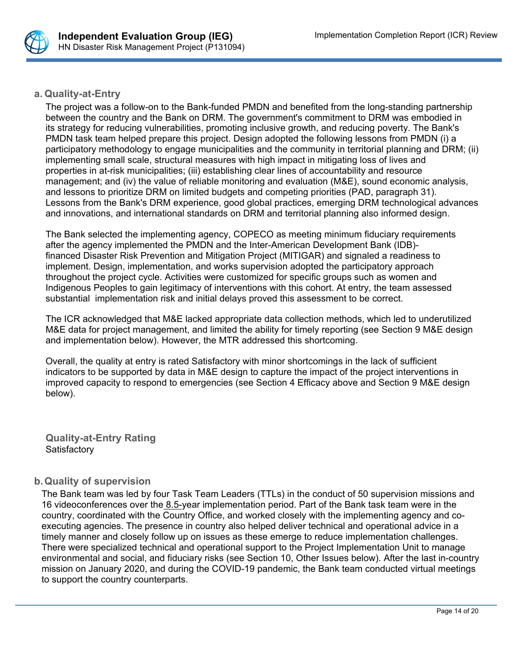

**a. Quality-at-Entry**

The project was a follow-on to the Bank-funded PMDN and benefited from the long-standing partnership between the country and the Bank on DRM. The government's commitment to DRM was embodied in its strategy for reducing vulnerabilities, promoting inclusive growth, and reducing poverty. The Bank's PMDN task team helped prepare this project. Design adopted the following lessons from PMDN (i) a participatory methodology to engage municipalities and the community in territorial planning and DRM; (ii) implementing small scale, structural measures with high impact in mitigating loss of lives and properties in at-risk municipalities; (iii) establishing clear lines of accountability and resource management; and (iv) the value of reliable monitoring and evaluation (M&E), sound economic analysis, and lessons to prioritize DRM on limited budgets and competing priorities (PAD, paragraph 31). Lessons from the Bank's DRM experience, good global practices, emerging DRM technological advances and innovations, and international standards on DRM and territorial planning also informed design.

The Bank selected the implementing agency, COPECO as meeting minimum fiduciary requirements after the agency implemented the PMDN and the Inter-American Development Bank (IDB) financed Disaster Risk Prevention and Mitigation Project (MITIGAR) and signaled a readiness to implement. Design, implementation, and works supervision adopted the participatory approach throughout the project cycle. Activities were customized for specific groups such as women and Indigenous Peoples to gain legitimacy of interventions with this cohort. At entry, the team assessed substantial implementation risk and initial delays proved this assessment to be correct.

The ICR acknowledged that M&E lacked appropriate data collection methods, which led to underutilized M&E data for project management, and limited the ability for timely reporting (see Section 9 M&E design and implementation below). However, the MTR addressed this shortcoming.

Overall, the quality at entry is rated Satisfactory with minor shortcomings in the lack of sufficient indicators to be supported by data in M&E design to capture the impact of the project interventions in improved capacity to respond to emergencies (see Section 4 Efficacy above and Section 9 M&E design below).

**Quality-at-Entry Rating Satisfactory** 

## **b.Quality of supervision**

The Bank team was led by four Task Team Leaders (TTLs) in the conduct of 50 supervision missions and 16 videoconferences over the 8.5-year implementation period. Part of the Bank task team were in the country, coordinated with the Country Office, and worked closely with the implementing agency and coexecuting agencies. The presence in country also helped deliver technical and operational advice in a timely manner and closely follow up on issues as these emerge to reduce implementation challenges. There were specialized technical and operational support to the Project Implementation Unit to manage environmental and social, and fiduciary risks (see Section 10, Other Issues below). After the last in-country mission on January 2020, and during the COVID-19 pandemic, the Bank team conducted virtual meetings to support the country counterparts.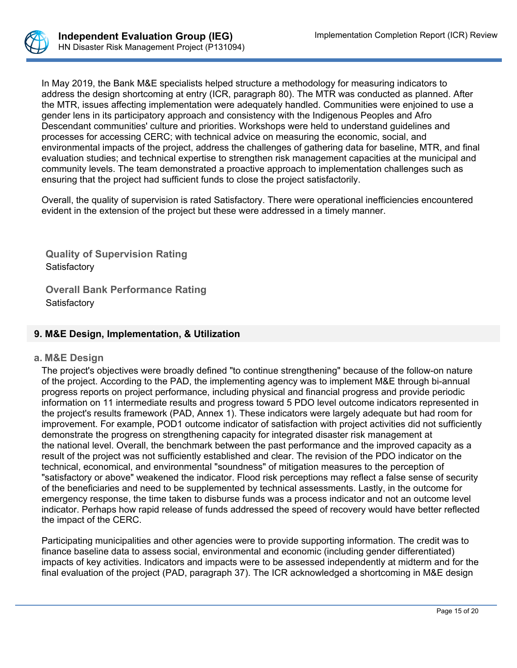

In May 2019, the Bank M&E specialists helped structure a methodology for measuring indicators to address the design shortcoming at entry (ICR, paragraph 80). The MTR was conducted as planned. After the MTR, issues affecting implementation were adequately handled. Communities were enjoined to use a gender lens in its participatory approach and consistency with the Indigenous Peoples and Afro Descendant communities' culture and priorities. Workshops were held to understand guidelines and processes for accessing CERC; with technical advice on measuring the economic, social, and environmental impacts of the project, address the challenges of gathering data for baseline, MTR, and final evaluation studies; and technical expertise to strengthen risk management capacities at the municipal and community levels. The team demonstrated a proactive approach to implementation challenges such as ensuring that the project had sufficient funds to close the project satisfactorily.

Overall, the quality of supervision is rated Satisfactory. There were operational inefficiencies encountered evident in the extension of the project but these were addressed in a timely manner.

**Quality of Supervision Rating Satisfactory** 

**Overall Bank Performance Rating Satisfactory** 

## **9. M&E Design, Implementation, & Utilization**

#### **a. M&E Design**

The project's objectives were broadly defined "to continue strengthening" because of the follow-on nature of the project. According to the PAD, the implementing agency was to implement M&E through bi-annual progress reports on project performance, including physical and financial progress and provide periodic information on 11 intermediate results and progress toward 5 PDO level outcome indicators represented in the project's results framework (PAD, Annex 1). These indicators were largely adequate but had room for improvement. For example, POD1 outcome indicator of satisfaction with project activities did not sufficiently demonstrate the progress on strengthening capacity for integrated disaster risk management at the national level. Overall, the benchmark between the past performance and the improved capacity as a result of the project was not sufficiently established and clear. The revision of the PDO indicator on the technical, economical, and environmental "soundness" of mitigation measures to the perception of "satisfactory or above" weakened the indicator. Flood risk perceptions may reflect a false sense of security of the beneficiaries and need to be supplemented by technical assessments. Lastly, in the outcome for emergency response, the time taken to disburse funds was a process indicator and not an outcome level indicator. Perhaps how rapid release of funds addressed the speed of recovery would have better reflected the impact of the CERC.

Participating municipalities and other agencies were to provide supporting information. The credit was to finance baseline data to assess social, environmental and economic (including gender differentiated) impacts of key activities. Indicators and impacts were to be assessed independently at midterm and for the final evaluation of the project (PAD, paragraph 37). The ICR acknowledged a shortcoming in M&E design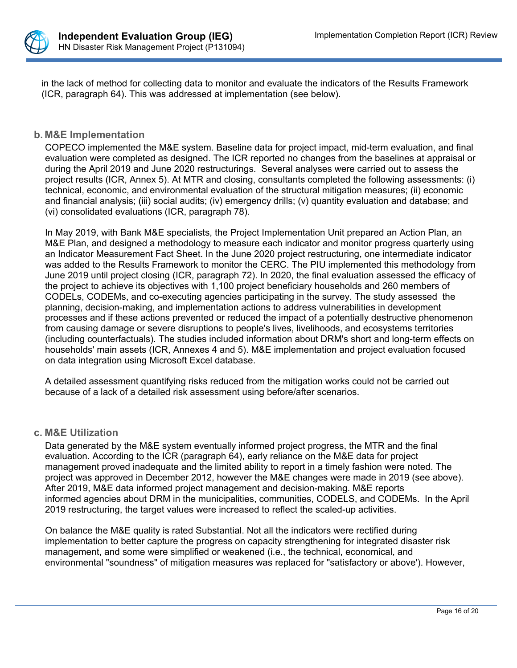

in the lack of method for collecting data to monitor and evaluate the indicators of the Results Framework (ICR, paragraph 64). This was addressed at implementation (see below).

### **b. M&E Implementation**

COPECO implemented the M&E system. Baseline data for project impact, mid-term evaluation, and final evaluation were completed as designed. The ICR reported no changes from the baselines at appraisal or during the April 2019 and June 2020 restructurings. Several analyses were carried out to assess the project results (ICR, Annex 5). At MTR and closing, consultants completed the following assessments: (i) technical, economic, and environmental evaluation of the structural mitigation measures; (ii) economic and financial analysis; (iii) social audits; (iv) emergency drills; (v) quantity evaluation and database; and (vi) consolidated evaluations (ICR, paragraph 78).

In May 2019, with Bank M&E specialists, the Project Implementation Unit prepared an Action Plan, an M&E Plan, and designed a methodology to measure each indicator and monitor progress quarterly using an Indicator Measurement Fact Sheet. In the June 2020 project restructuring, one intermediate indicator was added to the Results Framework to monitor the CERC. The PIU implemented this methodology from June 2019 until project closing (ICR, paragraph 72). In 2020, the final evaluation assessed the efficacy of the project to achieve its objectives with 1,100 project beneficiary households and 260 members of CODELs, CODEMs, and co-executing agencies participating in the survey. The study assessed the planning, decision-making, and implementation actions to address vulnerabilities in development processes and if these actions prevented or reduced the impact of a potentially destructive phenomenon from causing damage or severe disruptions to people's lives, livelihoods, and ecosystems territories (including counterfactuals). The studies included information about DRM's short and long-term effects on households' main assets (ICR, Annexes 4 and 5). M&E implementation and project evaluation focused on data integration using Microsoft Excel database.

A detailed assessment quantifying risks reduced from the mitigation works could not be carried out because of a lack of a detailed risk assessment using before/after scenarios.

### **c. M&E Utilization**

Data generated by the M&E system eventually informed project progress, the MTR and the final evaluation. According to the ICR (paragraph 64), early reliance on the M&E data for project management proved inadequate and the limited ability to report in a timely fashion were noted. The project was approved in December 2012, however the M&E changes were made in 2019 (see above). After 2019, M&E data informed project management and decision-making. M&E reports informed agencies about DRM in the municipalities, communities, CODELS, and CODEMs. In the April 2019 restructuring, the target values were increased to reflect the scaled-up activities.

On balance the M&E quality is rated Substantial. Not all the indicators were rectified during implementation to better capture the progress on capacity strengthening for integrated disaster risk management, and some were simplified or weakened (i.e., the technical, economical, and environmental "soundness" of mitigation measures was replaced for "satisfactory or above'). However,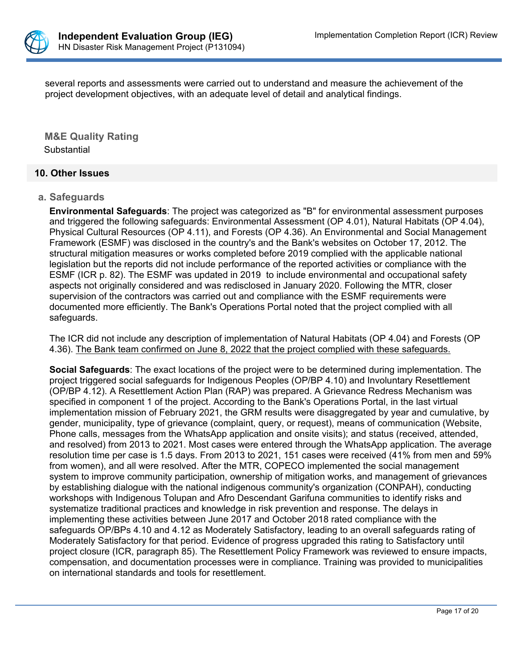

several reports and assessments were carried out to understand and measure the achievement of the project development objectives, with an adequate level of detail and analytical findings.

**M&E Quality Rating Substantial** 

### **10. Other Issues**

#### **a. Safeguards**

**Environmental Safeguards**: The project was categorized as "B" for environmental assessment purposes and triggered the following safeguards: Environmental Assessment (OP 4.01), Natural Habitats (OP 4.04), Physical Cultural Resources (OP 4.11), and Forests (OP 4.36). An Environmental and Social Management Framework (ESMF) was disclosed in the country's and the Bank's websites on October 17, 2012. The structural mitigation measures or works completed before 2019 complied with the applicable national legislation but the reports did not include performance of the reported activities or compliance with the ESMF (ICR p. 82). The ESMF was updated in 2019 to include environmental and occupational safety aspects not originally considered and was redisclosed in January 2020. Following the MTR, closer supervision of the contractors was carried out and compliance with the ESMF requirements were documented more efficiently. The Bank's Operations Portal noted that the project complied with all safeguards.

The ICR did not include any description of implementation of Natural Habitats (OP 4.04) and Forests (OP 4.36). The Bank team confirmed on June 8, 2022 that the project complied with these safeguards.

**Social Safeguards**: The exact locations of the project were to be determined during implementation. The project triggered social safeguards for Indigenous Peoples (OP/BP 4.10) and Involuntary Resettlement (OP/BP 4.12). A Resettlement Action Plan (RAP) was prepared. A Grievance Redress Mechanism was specified in component 1 of the project. According to the Bank's Operations Portal, in the last virtual implementation mission of February 2021, the GRM results were disaggregated by year and cumulative, by gender, municipality, type of grievance (complaint, query, or request), means of communication (Website, Phone calls, messages from the WhatsApp application and onsite visits); and status (received, attended, and resolved) from 2013 to 2021. Most cases were entered through the WhatsApp application. The average resolution time per case is 1.5 days. From 2013 to 2021, 151 cases were received (41% from men and 59% from women), and all were resolved. After the MTR, COPECO implemented the social management system to improve community participation, ownership of mitigation works, and management of grievances by establishing dialogue with the national indigenous community's organization (CONPAH), conducting workshops with Indigenous Tolupan and Afro Descendant Garifuna communities to identify risks and systematize traditional practices and knowledge in risk prevention and response. The delays in implementing these activities between June 2017 and October 2018 rated compliance with the safeguards OP/BPs 4.10 and 4.12 as Moderately Satisfactory, leading to an overall safeguards rating of Moderately Satisfactory for that period. Evidence of progress upgraded this rating to Satisfactory until project closure (ICR, paragraph 85). The Resettlement Policy Framework was reviewed to ensure impacts, compensation, and documentation processes were in compliance. Training was provided to municipalities on international standards and tools for resettlement.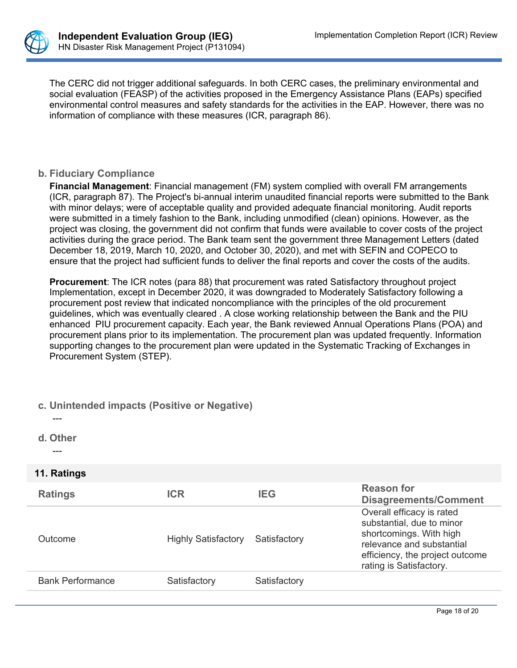

The CERC did not trigger additional safeguards. In both CERC cases, the preliminary environmental and social evaluation (FEASP) of the activities proposed in the Emergency Assistance Plans (EAPs) specified environmental control measures and safety standards for the activities in the EAP. However, there was no information of compliance with these measures (ICR, paragraph 86).

### **b. Fiduciary Compliance**

**Financial Management**: Financial management (FM) system complied with overall FM arrangements (ICR, paragraph 87). The Project's bi-annual interim unaudited financial reports were submitted to the Bank with minor delays; were of acceptable quality and provided adequate financial monitoring. Audit reports were submitted in a timely fashion to the Bank, including unmodified (clean) opinions. However, as the project was closing, the government did not confirm that funds were available to cover costs of the project activities during the grace period. The Bank team sent the government three Management Letters (dated December 18, 2019, March 10, 2020, and October 30, 2020), and met with SEFIN and COPECO to ensure that the project had sufficient funds to deliver the final reports and cover the costs of the audits.

**Procurement**: The ICR notes (para 88) that procurement was rated Satisfactory throughout project Implementation, except in December 2020, it was downgraded to Moderately Satisfactory following a procurement post review that indicated noncompliance with the principles of the old procurement guidelines, which was eventually cleared . A close working relationship between the Bank and the PIU enhanced PIU procurement capacity. Each year, the Bank reviewed Annual Operations Plans (POA) and procurement plans prior to its implementation. The procurement plan was updated frequently. Information supporting changes to the procurement plan were updated in the Systematic Tracking of Exchanges in Procurement System (STEP).

### **c. Unintended impacts (Positive or Negative)**

---

**d. Other**

---

### **11. Ratings**

| <b>Ratings</b>          | ICR                        | <b>IEG</b>   | <b>Reason for</b><br><b>Disagreements/Comment</b>                                                                                                                            |
|-------------------------|----------------------------|--------------|------------------------------------------------------------------------------------------------------------------------------------------------------------------------------|
| Outcome                 | <b>Highly Satisfactory</b> | Satisfactory | Overall efficacy is rated<br>substantial, due to minor<br>shortcomings. With high<br>relevance and substantial<br>efficiency, the project outcome<br>rating is Satisfactory. |
| <b>Bank Performance</b> | Satisfactory               | Satisfactory |                                                                                                                                                                              |
|                         |                            |              |                                                                                                                                                                              |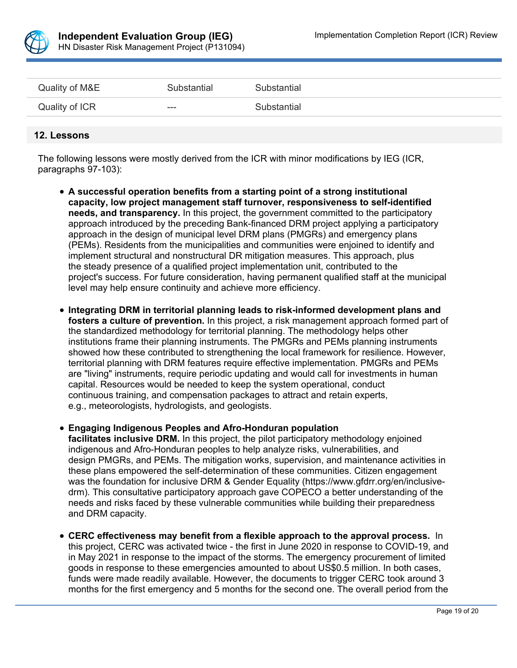

| Quality of M&E | Substantial | Substantial |
|----------------|-------------|-------------|
| Quality of ICR | $--$        | Substantial |

#### **12. Lessons**

The following lessons were mostly derived from the ICR with minor modifications by IEG (ICR, paragraphs 97-103):

- **A successful operation benefits from a starting point of a strong institutional capacity, low project management staff turnover, responsiveness to self-identified needs, and transparency.** In this project, the government committed to the participatory approach introduced by the preceding Bank-financed DRM project applying a participatory approach in the design of municipal level DRM plans (PMGRs) and emergency plans (PEMs). Residents from the municipalities and communities were enjoined to identify and implement structural and nonstructural DR mitigation measures. This approach, plus the steady presence of a qualified project implementation unit, contributed to the project's success. For future consideration, having permanent qualified staff at the municipal level may help ensure continuity and achieve more efficiency.
- **Integrating DRM in territorial planning leads to risk-informed development plans and fosters a culture of prevention.** In this project, a risk management approach formed part of the standardized methodology for territorial planning. The methodology helps other institutions frame their planning instruments. The PMGRs and PEMs planning instruments showed how these contributed to strengthening the local framework for resilience. However, territorial planning with DRM features require effective implementation. PMGRs and PEMs are "living" instruments, require periodic updating and would call for investments in human capital. Resources would be needed to keep the system operational, conduct continuous training, and compensation packages to attract and retain experts, e.g., meteorologists, hydrologists, and geologists.
- **Engaging Indigenous Peoples and Afro-Honduran population facilitates inclusive DRM.** In this project, the pilot participatory methodology enjoined indigenous and Afro-Honduran peoples to help analyze risks, vulnerabilities, and design PMGRs, and PEMs. The mitigation works, supervision, and maintenance activities in these plans empowered the self-determination of these communities. Citizen engagement was the foundation for inclusive DRM & Gender Equality (https://www.gfdrr.org/en/inclusivedrm). This consultative participatory approach gave COPECO a better understanding of the needs and risks faced by these vulnerable communities while building their preparedness and DRM capacity.
- **CERC effectiveness may benefit from a flexible approach to the approval process.** In this project, CERC was activated twice - the first in June 2020 in response to COVID-19, and in May 2021 in response to the impact of the storms. The emergency procurement of limited goods in response to these emergencies amounted to about US\$0.5 million. In both cases, funds were made readily available. However, the documents to trigger CERC took around 3 months for the first emergency and 5 months for the second one. The overall period from the